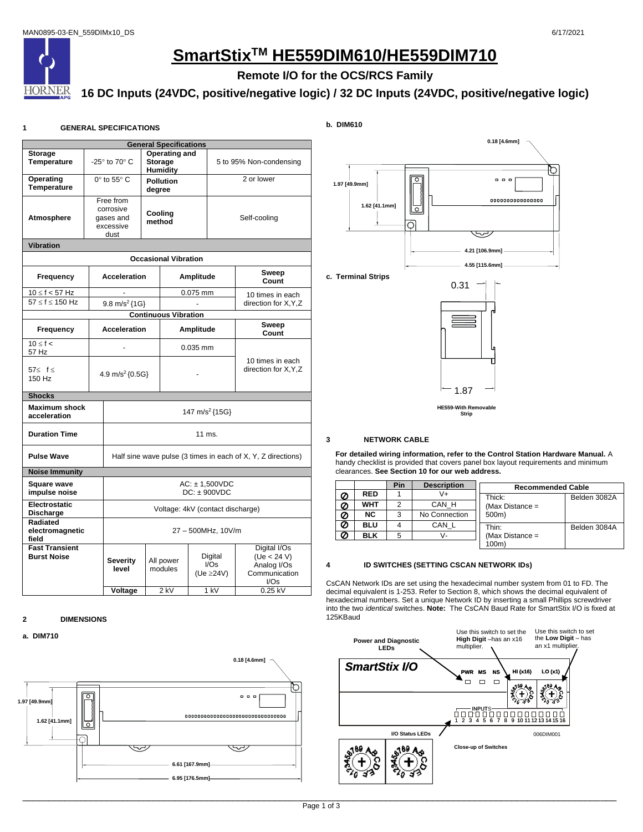

# **SmartStixTM HE559DIM610/HE559DIM710**

# **Remote I/O for the OCS/RCS Family**

# **16 DC Inputs (24VDC, positive/negative logic) / 32 DC Inputs (24VDC, positive/negative logic)**

# **1 GENERAL SPECIFICATIONS**

| <b>General Specifications</b>               |  |                                                              |                            |                             |              |                                           |                                                                     |  |
|---------------------------------------------|--|--------------------------------------------------------------|----------------------------|-----------------------------|--------------|-------------------------------------------|---------------------------------------------------------------------|--|
| <b>Storage</b><br><b>Temperature</b>        |  | Operating and<br>-25° to 70° C<br><b>Storage</b><br>Humidity |                            | 5 to 95% Non-condensing     |              |                                           |                                                                     |  |
| Operating<br><b>Temperature</b>             |  | $0^\circ$ to 55 $^\circ$ C                                   | <b>Pollution</b><br>degree |                             | 2 or lower   |                                           |                                                                     |  |
| Atmosphere                                  |  | Free from<br>corrosive<br>gases and<br>excessive<br>dust     | Cooling<br>method          |                             | Self-cooling |                                           |                                                                     |  |
| <b>Vibration</b>                            |  |                                                              |                            |                             |              |                                           |                                                                     |  |
|                                             |  |                                                              |                            | <b>Occasional Vibration</b> |              |                                           |                                                                     |  |
| <b>Frequency</b>                            |  | <b>Acceleration</b>                                          |                            |                             | Amplitude    |                                           | Sweep<br>Count                                                      |  |
| $10 \le f < 57$ Hz<br>$57 < f < 150$ Hz     |  | $9.8 \text{ m/s}^2$ {1G}                                     |                            |                             | 0.075 mm     |                                           | 10 times in each<br>direction for X, Y, Z                           |  |
|                                             |  |                                                              |                            | <b>Continuous Vibration</b> |              |                                           |                                                                     |  |
| <b>Frequency</b>                            |  | <b>Acceleration</b>                                          |                            | Amplitude                   |              |                                           | Sweep<br>Count                                                      |  |
| $10 \leq f <$<br>57 Hz                      |  |                                                              |                            | $0.035$ mm                  |              |                                           |                                                                     |  |
| 57≤ f ≤<br>150 Hz                           |  | 4.9 m/s <sup>2</sup> {0.5G}                                  |                            |                             |              | 10 times in each<br>direction for X, Y, Z |                                                                     |  |
| <b>Shocks</b>                               |  |                                                              |                            |                             |              |                                           |                                                                     |  |
| <b>Maximum shock</b><br>acceleration        |  | 147 m/s <sup>2</sup> {15G}                                   |                            |                             |              |                                           |                                                                     |  |
| <b>Duration Time</b>                        |  | $11$ ms.                                                     |                            |                             |              |                                           |                                                                     |  |
| <b>Pulse Wave</b>                           |  | Half sine wave pulse (3 times in each of X, Y, Z directions) |                            |                             |              |                                           |                                                                     |  |
| <b>Noise Immunity</b>                       |  |                                                              |                            |                             |              |                                           |                                                                     |  |
| <b>Square wave</b><br>impulse noise         |  | $AC: \pm 1,500VDC$<br>$DC: + 900VDC$                         |                            |                             |              |                                           |                                                                     |  |
| Electrostatic<br>Discharge                  |  | Voltage: 4kV (contact discharge)                             |                            |                             |              |                                           |                                                                     |  |
| Radiated<br>electromagnetic<br>field        |  | 27 - 500MHz, 10V/m                                           |                            |                             |              |                                           |                                                                     |  |
| <b>Fast Transient</b><br><b>Burst Noise</b> |  | Severity<br>level                                            |                            | All power<br>modules        |              | Digital<br>I/Ss<br>(Ue ≥24V)              | Digital I/Os<br>(Ve < 24 V)<br>Analog I/Os<br>Communication<br>I/Os |  |
|                                             |  | Voltage                                                      |                            | 2 kV                        |              | 1 kV                                      | 0.25 kV                                                             |  |

# **2 DIMENSIONS**

# **a. DIM710**



**b. DIM610**



**c. Terminal Strips**



# **3 NETWORK CABLE**

**For detailed wiring information, refer to the Control Station Hardware Manual.** A handy checklist is provided that covers panel box layout requirements and minimum clearances. **See Section 10 for our web address.**

|   |            | Pin | <b>Description</b> | <b>Recommended Cable</b> |              |  |  |
|---|------------|-----|--------------------|--------------------------|--------------|--|--|
|   | <b>RED</b> |     | V+                 | Thick:                   | Belden 3082A |  |  |
|   | <b>WHT</b> |     | CAN H              | (Max Distance $=$        |              |  |  |
|   | NC.        | 3   | No Connection      | 500m)                    |              |  |  |
| Ø | <b>BLU</b> |     | CAN L              | Thin:                    | Belden 3084A |  |  |
|   | <b>BLK</b> | 5   | v-                 | (Max Distance $=$        |              |  |  |
|   |            |     |                    | 100m                     |              |  |  |

#### **4 ID SWITCHES (SETTING CSCAN NETWORK IDs)**

CsCAN Network IDs are set using the hexadecimal number system from 01 to FD. The decimal equivalent is 1-253. Refer to Section 8, which shows the decimal equivalent of hexadecimal numbers. Set a unique Network ID by inserting a small Phillips screwdriver into the two *identical* switches. **Note:** The CsCAN Baud Rate for SmartStix I/O is fixed at 125KBaud

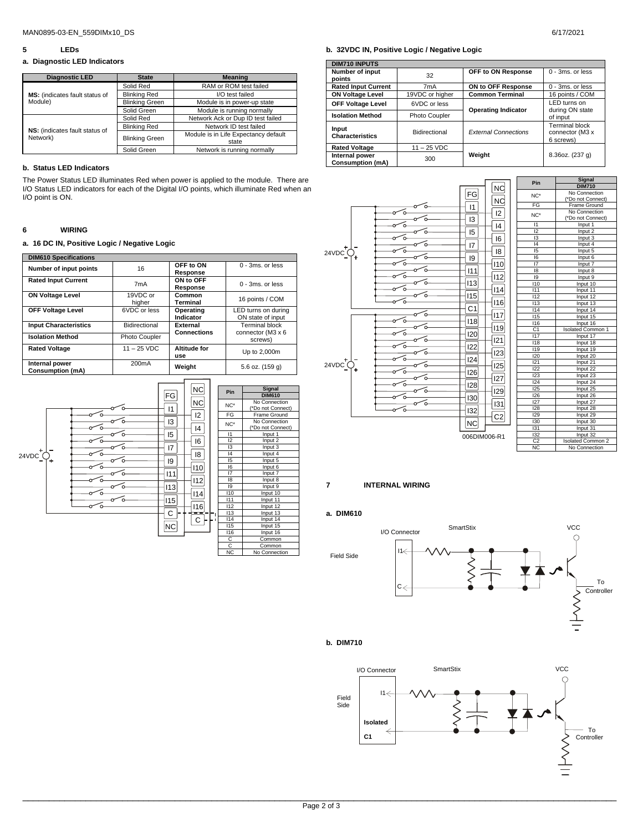#### **5 LEDs**

#### **a. Diagnostic LED Indicators**

| <b>Diagnostic LED</b>          | <b>State</b>          | <b>Meaning</b>                       |  |  |
|--------------------------------|-----------------------|--------------------------------------|--|--|
|                                | Solid Red             | RAM or ROM test failed               |  |  |
| MS: (indicates fault status of | <b>Blinking Red</b>   | I/O test failed                      |  |  |
| Module)                        | <b>Blinking Green</b> | Module is in power-up state          |  |  |
|                                | Solid Green           | Module is running normally           |  |  |
|                                | Solid Red             | Network Ack or Dup ID test failed    |  |  |
| NS: (indicates fault status of | <b>Blinking Red</b>   | Network ID test failed               |  |  |
| Network)                       | <b>Blinking Green</b> | Module is in Life Expectancy default |  |  |
|                                |                       | state                                |  |  |
|                                | Solid Green           | Network is running normally          |  |  |

#### **b. Status LED Indicators**

The Power Status LED illuminates Red when power is applied to the module. There are I/O Status LED indicators for each of the Digital I/O points, which illuminate Red when an I/O point is ON.

#### **6 WIRING**

# **a. 16 DC IN, Positive Logic / Negative Logic**

| <b>DIM610 Specifications</b>              |                    |                                |                                            |  |  |  |
|-------------------------------------------|--------------------|--------------------------------|--------------------------------------------|--|--|--|
| Number of input points                    | 16                 | OFF to ON<br>Response          | $0 - 3ms$ or less                          |  |  |  |
| <b>Rated Input Current</b>                | 7 <sub>m</sub> A   | ON to OFF<br>Response          | $0 - 3ms$ or less                          |  |  |  |
| <b>ON Voltage Level</b>                   | 19VDC or<br>higher | Common<br>Terminal             | 16 points / COM                            |  |  |  |
| <b>OFF Voltage Level</b>                  | 6VDC or less       | Operating<br>Indicator         | LED turns on during<br>ON state of input   |  |  |  |
| <b>Input Characteristics</b>              | Bidirectional      | External<br><b>Connections</b> | <b>Terminal block</b><br>connector (M3 x 6 |  |  |  |
| <b>Isolation Method</b>                   | Photo Coupler      |                                | screws)                                    |  |  |  |
| <b>Rated Voltage</b>                      | $11 - 25$ VDC      | Altitude for<br>use            | Up to 2,000m                               |  |  |  |
| Internal power<br><b>Consumption (mA)</b> | 200 <sub>m</sub> A | Weight                         | 5.6 oz. (159 g)                            |  |  |  |



#### **b. 32VDC IN, Positive Logic / Negative Logic**

| <b>DIM710 INPUTS</b>                      |                  |                             |                                                       |  |
|-------------------------------------------|------------------|-----------------------------|-------------------------------------------------------|--|
| Number of input<br>points                 | 32               | OFF to ON Response          | 0 - 3ms, or less                                      |  |
| <b>Rated Input Current</b>                | 7 <sub>m</sub> A | ON to OFF Response          | 0 - 3ms, or less                                      |  |
| <b>ON Voltage Level</b>                   | 19VDC or higher  | <b>Common Terminal</b>      | 16 points / COM                                       |  |
| <b>OFF Voltage Level</b>                  | 6VDC or less     | <b>Operating Indicator</b>  | LED turns on<br>during ON state<br>of input           |  |
| <b>Isolation Method</b>                   | Photo Coupler    |                             |                                                       |  |
| Input<br><b>Characteristics</b>           | Bidirectional    | <b>External Connections</b> | <b>Terminal block</b><br>connector (M3 x<br>6 screws) |  |
| <b>Rated Voltage</b>                      | $11 - 25$ VDC    |                             |                                                       |  |
| Internal power<br><b>Consumption (mA)</b> | 300              | Weight                      | 8.36oz. (237 g)                                       |  |



# **7 INTERNAL WIRING**

# **a. DIM610**





#### **b. DIM710**